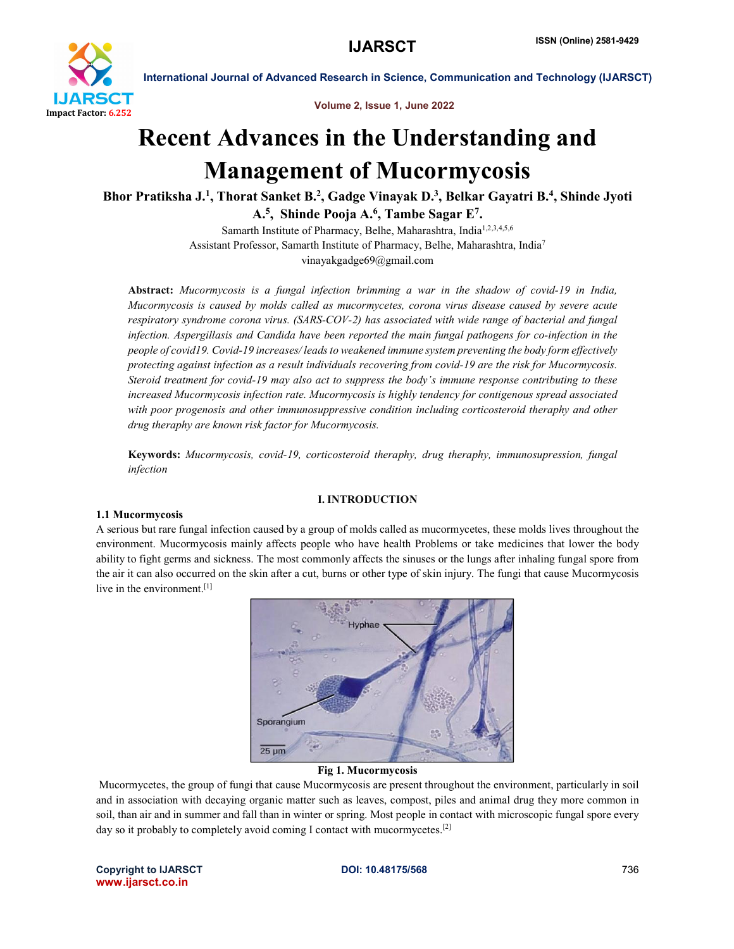

Volume 2, Issue 1, June 2022

## Recent Advances in the Understanding and Management of Mucormycosis

Bhor Pratiksha J.<sup>1</sup>, Thorat Sanket B.<sup>2</sup>, Gadge Vinayak D.<sup>3</sup>, Belkar Gayatri B.<sup>4</sup>, Shinde Jyoti A.5, Shinde Pooja A.6, Tambe Sagar E7.

> Samarth Institute of Pharmacy, Belhe, Maharashtra, India<sup>1,2,3,4,5,6</sup> Assistant Professor, Samarth Institute of Pharmacy, Belhe, Maharashtra, India7 vinayakgadge69@gmail.com

Abstract: *Mucormycosis is a fungal infection brimming a war in the shadow of covid-19 in India, Mucormycosis is caused by molds called as mucormycetes, corona virus disease caused by severe acute respiratory syndrome corona virus. (SARS-COV-2) has associated with wide range of bacterial and fungal infection. Aspergillasis and Candida have been reported the main fungal pathogens for co-infection in the people of covid19. Covid-19 increases/ leads to weakened immune system preventing the body form effectively protecting against infection as a result individuals recovering from covid-19 are the risk for Mucormycosis. Steroid treatment for covid-19 may also act to suppress the body's immune response contributing to these increased Mucormycosis infection rate. Mucormycosis is highly tendency for contigenous spread associated*  with poor progenosis and other immunosuppressive condition including corticosteroid theraphy and other *drug theraphy are known risk factor for Mucormycosis.*

Keywords: *Mucormycosis, covid-19, corticosteroid theraphy, drug theraphy, immunosupression, fungal infection*

#### I. INTRODUCTION

#### 1.1 Mucormycosis

A serious but rare fungal infection caused by a group of molds called as mucormycetes, these molds lives throughout the environment. Mucormycosis mainly affects people who have health Problems or take medicines that lower the body ability to fight germs and sickness. The most commonly affects the sinuses or the lungs after inhaling fungal spore from the air it can also occurred on the skin after a cut, burns or other type of skin injury. The fungi that cause Mucormycosis live in the environment.<sup>[1]</sup>



#### Fig 1. Mucormycosis

Mucormycetes, the group of fungi that cause Mucormycosis are present throughout the environment, particularly in soil and in association with decaying organic matter such as leaves, compost, piles and animal drug they more common in soil, than air and in summer and fall than in winter or spring. Most people in contact with microscopic fungal spore every day so it probably to completely avoid coming I contact with mucormycetes.<sup>[2]</sup>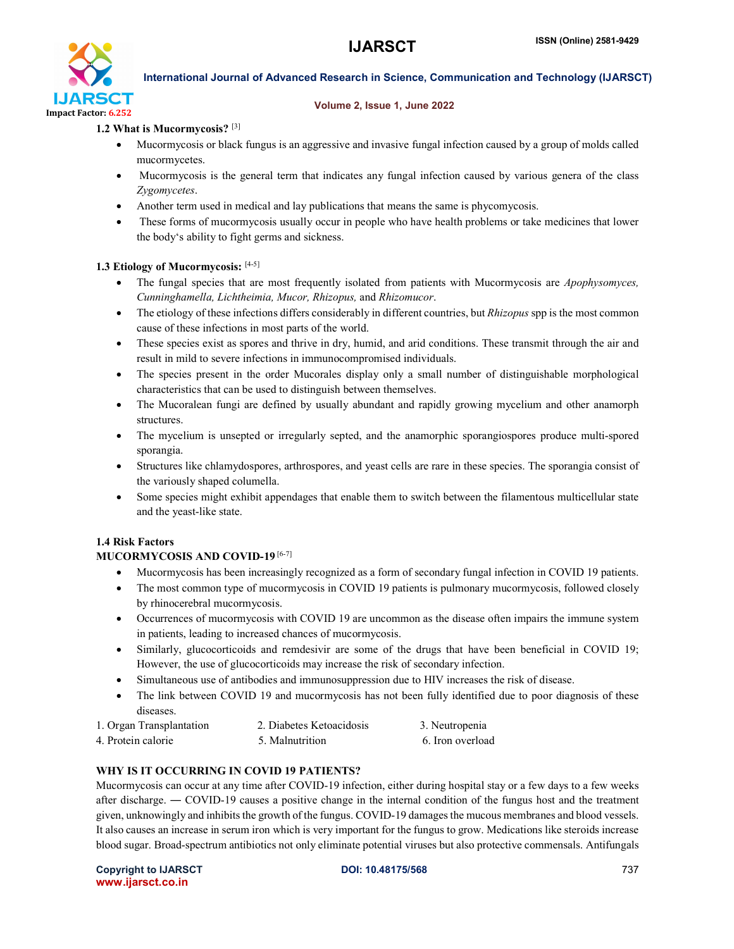

#### Volume 2, Issue 1, June 2022

#### 1.2 What is Mucormycosis? [3]

- Mucormycosis or black fungus is an aggressive and invasive fungal infection caused by a group of molds called mucormycetes.
- Mucormycosis is the general term that indicates any fungal infection caused by various genera of the class *Zygomycetes*.
- Another term used in medical and lay publications that means the same is phycomycosis.
- These forms of mucormycosis usually occur in people who have health problems or take medicines that lower the body's ability to fight germs and sickness.

#### 1.3 Etiology of Mucormycosis: [4-5]

- The fungal species that are most frequently isolated from patients with Mucormycosis are *Apophysomyces, Cunninghamella, Lichtheimia, Mucor, Rhizopus,* and *Rhizomucor*.
- The etiology of these infections differs considerably in different countries, but *Rhizopus* spp is the most common cause of these infections in most parts of the world.
- These species exist as spores and thrive in dry, humid, and arid conditions. These transmit through the air and result in mild to severe infections in immunocompromised individuals.
- The species present in the order Mucorales display only a small number of distinguishable morphological characteristics that can be used to distinguish between themselves.
- The Mucoralean fungi are defined by usually abundant and rapidly growing mycelium and other anamorph structures.
- The mycelium is unsepted or irregularly septed, and the anamorphic sporangiospores produce multi-spored sporangia.
- Structures like chlamydospores, arthrospores, and yeast cells are rare in these species. The sporangia consist of the variously shaped columella.
- Some species might exhibit appendages that enable them to switch between the filamentous multicellular state and the yeast-like state.

#### 1.4 Risk Factors

#### MUCORMYCOSIS AND COVID-19 [6-7]

- Mucormycosis has been increasingly recognized as a form of secondary fungal infection in COVID 19 patients.
- The most common type of mucormycosis in COVID 19 patients is pulmonary mucormycosis, followed closely by rhinocerebral mucormycosis.
- Occurrences of mucormycosis with COVID 19 are uncommon as the disease often impairs the immune system in patients, leading to increased chances of mucormycosis.
- Similarly, glucocorticoids and remdesivir are some of the drugs that have been beneficial in COVID 19; However, the use of glucocorticoids may increase the risk of secondary infection.
- Simultaneous use of antibodies and immunosuppression due to HIV increases the risk of disease.
- The link between COVID 19 and mucormycosis has not been fully identified due to poor diagnosis of these diseases.
- 1. Organ Transplantation 2. Diabetes Ketoacidosis 3. Neutropenia 4. Protein calorie 6. Iron overload 5. Malnutrition 6. Iron overload

### WHY IS IT OCCURRING IN COVID 19 PATIENTS?

Mucormycosis can occur at any time after COVID-19 infection, either during hospital stay or a few days to a few weeks after discharge. ― COVID-19 causes a positive change in the internal condition of the fungus host and the treatment given, unknowingly and inhibits the growth of the fungus. COVID-19 damages the mucous membranes and blood vessels. It also causes an increase in serum iron which is very important for the fungus to grow. Medications like steroids increase blood sugar. Broad-spectrum antibiotics not only eliminate potential viruses but also protective commensals. Antifungals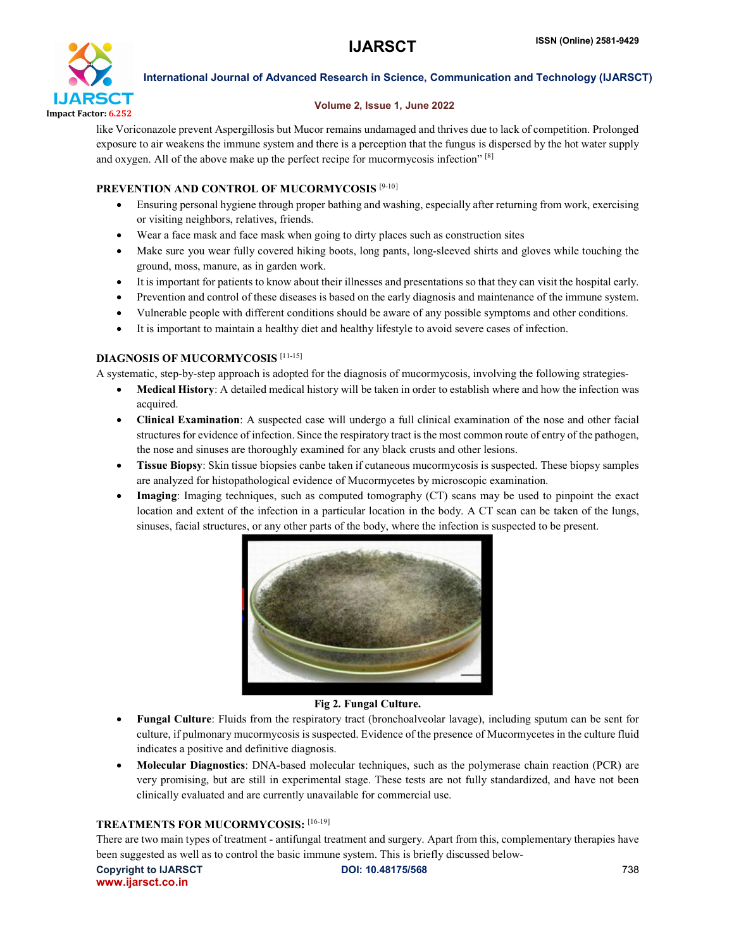

#### Volume 2, Issue 1, June 2022

like Voriconazole prevent Aspergillosis but Mucor remains undamaged and thrives due to lack of competition. Prolonged exposure to air weakens the immune system and there is a perception that the fungus is dispersed by the hot water supply and oxygen. All of the above make up the perfect recipe for mucormycosis infection" [8]

#### PREVENTION AND CONTROL OF MUCORMYCOSIS [9-10]

- Ensuring personal hygiene through proper bathing and washing, especially after returning from work, exercising or visiting neighbors, relatives, friends.
- Wear a face mask and face mask when going to dirty places such as construction sites
- Make sure you wear fully covered hiking boots, long pants, long-sleeved shirts and gloves while touching the ground, moss, manure, as in garden work.
- It is important for patients to know about their illnesses and presentations so that they can visit the hospital early.
- Prevention and control of these diseases is based on the early diagnosis and maintenance of the immune system.
- Vulnerable people with different conditions should be aware of any possible symptoms and other conditions.
- It is important to maintain a healthy diet and healthy lifestyle to avoid severe cases of infection.

### DIAGNOSIS OF MUCORMYCOSIS [11-15]

A systematic, step-by-step approach is adopted for the diagnosis of mucormycosis, involving the following strategies-

- Medical History: A detailed medical history will be taken in order to establish where and how the infection was acquired.
- Clinical Examination: A suspected case will undergo a full clinical examination of the nose and other facial structures for evidence of infection. Since the respiratory tract is the most common route of entry of the pathogen, the nose and sinuses are thoroughly examined for any black crusts and other lesions.
- Tissue Biopsy: Skin tissue biopsies canbe taken if cutaneous mucormycosis is suspected. These biopsy samples are analyzed for histopathological evidence of Mucormycetes by microscopic examination.
- Imaging: Imaging techniques, such as computed tomography (CT) scans may be used to pinpoint the exact location and extent of the infection in a particular location in the body. A CT scan can be taken of the lungs, sinuses, facial structures, or any other parts of the body, where the infection is suspected to be present.



#### Fig 2. Fungal Culture.

- Fungal Culture: Fluids from the respiratory tract (bronchoalveolar lavage), including sputum can be sent for culture, if pulmonary mucormycosis is suspected. Evidence of the presence of Mucormycetes in the culture fluid indicates a positive and definitive diagnosis.
- Molecular Diagnostics: DNA-based molecular techniques, such as the polymerase chain reaction (PCR) are very promising, but are still in experimental stage. These tests are not fully standardized, and have not been clinically evaluated and are currently unavailable for commercial use.

#### TREATMENTS FOR MUCORMYCOSIS: [16-19]

There are two main types of treatment - antifungal treatment and surgery. Apart from this, complementary therapies have been suggested as well as to control the basic immune system. This is briefly discussed below-

Copyright to IJARSCT **DOI: 10.48175/568 DOI: 10.48175/568** 738 www.ijarsct.co.in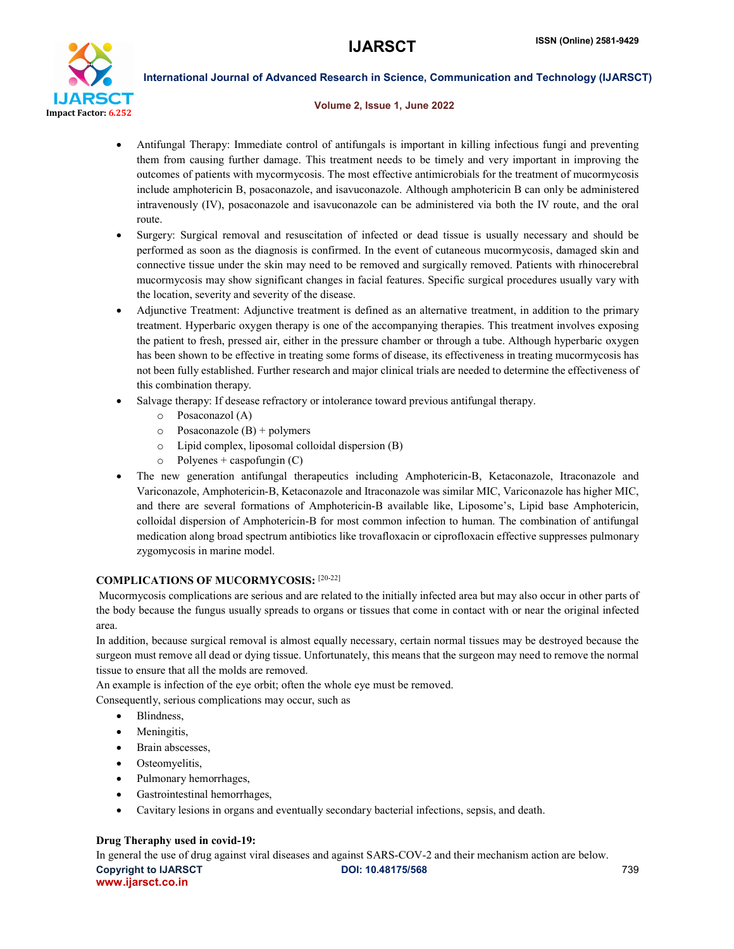

#### Volume 2, Issue 1, June 2022

- Antifungal Therapy: Immediate control of antifungals is important in killing infectious fungi and preventing them from causing further damage. This treatment needs to be timely and very important in improving the outcomes of patients with mycormycosis. The most effective antimicrobials for the treatment of mucormycosis include amphotericin B, posaconazole, and isavuconazole. Although amphotericin B can only be administered intravenously (IV), posaconazole and isavuconazole can be administered via both the IV route, and the oral route.
- Surgery: Surgical removal and resuscitation of infected or dead tissue is usually necessary and should be performed as soon as the diagnosis is confirmed. In the event of cutaneous mucormycosis, damaged skin and connective tissue under the skin may need to be removed and surgically removed. Patients with rhinocerebral mucormycosis may show significant changes in facial features. Specific surgical procedures usually vary with the location, severity and severity of the disease.
- Adjunctive Treatment: Adjunctive treatment is defined as an alternative treatment, in addition to the primary treatment. Hyperbaric oxygen therapy is one of the accompanying therapies. This treatment involves exposing the patient to fresh, pressed air, either in the pressure chamber or through a tube. Although hyperbaric oxygen has been shown to be effective in treating some forms of disease, its effectiveness in treating mucormycosis has not been fully established. Further research and major clinical trials are needed to determine the effectiveness of this combination therapy.
- Salvage therapy: If desease refractory or intolerance toward previous antifungal therapy.
	- o Posaconazol (A)
	- $\circ$  Posaconazole (B) + polymers
	- o Lipid complex, liposomal colloidal dispersion (B)
	- $\circ$  Polyenes + caspofungin (C)
- The new generation antifungal therapeutics including Amphotericin-B, Ketaconazole, Itraconazole and Variconazole, Amphotericin-B, Ketaconazole and Itraconazole was similar MIC, Variconazole has higher MIC, and there are several formations of Amphotericin-B available like, Liposome's, Lipid base Amphotericin, colloidal dispersion of Amphotericin-B for most common infection to human. The combination of antifungal medication along broad spectrum antibiotics like trovafloxacin or ciprofloxacin effective suppresses pulmonary zygomycosis in marine model.

#### COMPLICATIONS OF MUCORMYCOSIS: [20-22]

Mucormycosis complications are serious and are related to the initially infected area but may also occur in other parts of the body because the fungus usually spreads to organs or tissues that come in contact with or near the original infected area.

In addition, because surgical removal is almost equally necessary, certain normal tissues may be destroyed because the surgeon must remove all dead or dying tissue. Unfortunately, this means that the surgeon may need to remove the normal tissue to ensure that all the molds are removed.

An example is infection of the eye orbit; often the whole eye must be removed.

Consequently, serious complications may occur, such as

- Blindness,
- Meningitis,
- Brain abscesses,
- Osteomyelitis,
- Pulmonary hemorrhages,
- Gastrointestinal hemorrhages,
- Cavitary lesions in organs and eventually secondary bacterial infections, sepsis, and death.

#### Drug Theraphy used in covid-19:

Copyright to IJARSCT **DOI: 10.48175/568 Copyright to IJARSCT** 739 www.ijarsct.co.in In general the use of drug against viral diseases and against SARS-COV-2 and their mechanism action are below.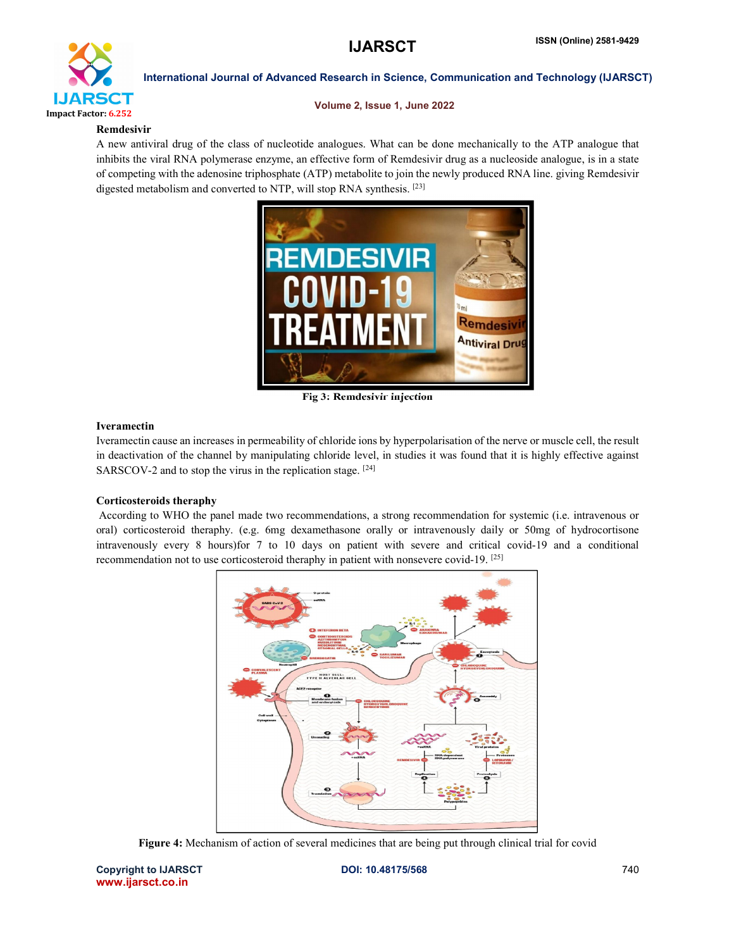

Volume 2, Issue 1, June 2022

#### Remdesivir

A new antiviral drug of the class of nucleotide analogues. What can be done mechanically to the ATP analogue that inhibits the viral RNA polymerase enzyme, an effective form of Remdesivir drug as a nucleoside analogue, is in a state of competing with the adenosine triphosphate (ATP) metabolite to join the newly produced RNA line. giving Remdesivir digested metabolism and converted to NTP, will stop RNA synthesis. [23]



Fig 3: Remdesivir injection

#### Iveramectin

Iveramectin cause an increases in permeability of chloride ions by hyperpolarisation of the nerve or muscle cell, the result in deactivation of the channel by manipulating chloride level, in studies it was found that it is highly effective against SARSCOV-2 and to stop the virus in the replication stage. [24]

#### Corticosteroids theraphy

According to WHO the panel made two recommendations, a strong recommendation for systemic (i.e. intravenous or oral) corticosteroid theraphy. (e.g. 6mg dexamethasone orally or intravenously daily or 50mg of hydrocortisone intravenously every 8 hours)for 7 to 10 days on patient with severe and critical covid-19 and a conditional recommendation not to use corticosteroid theraphy in patient with nonsevere covid-19. [25]



Figure 4: Mechanism of action of several medicines that are being put through clinical trial for covid

Copyright to IJARSCT DOI: 10.48175/568 **DOI: 10.48175/568** 740 www.ijarsct.co.in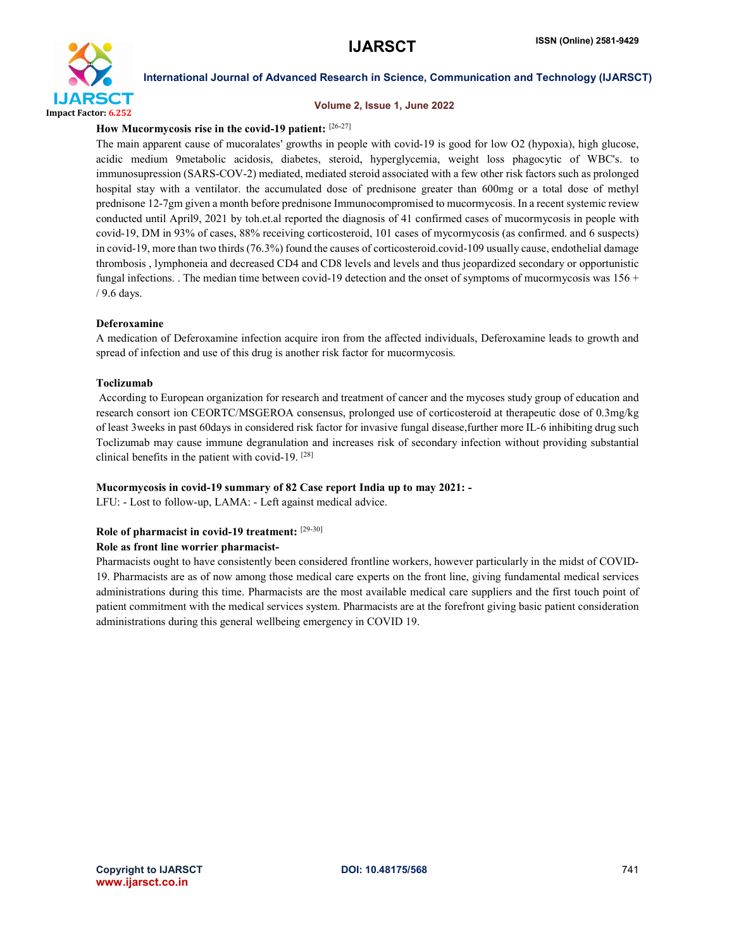

#### Volume 2, Issue 1, June 2022

## How Mucormycosis rise in the covid-19 patient: [26-27]

The main apparent cause of mucoralates' growths in people with covid-19 is good for low O2 (hypoxia), high glucose, acidic medium 9metabolic acidosis, diabetes, steroid, hyperglycemia, weight loss phagocytic of WBC's. to immunosupression (SARS-COV-2) mediated, mediated steroid associated with a few other risk factors such as prolonged hospital stay with a ventilator. the accumulated dose of prednisone greater than 600mg or a total dose of methyl prednisone 12-7gm given a month before prednisone Immunocompromised to mucormycosis. In a recent systemic review conducted until April9, 2021 by toh.et.al reported the diagnosis of 41 confirmed cases of mucormycosis in people with covid-19, DM in 93% of cases, 88% receiving corticosteroid, 101 cases of mycormycosis (as confirmed. and 6 suspects) in covid-19, more than two thirds (76.3%) found the causes of corticosteroid.covid-109 usually cause, endothelial damage thrombosis , lymphoneia and decreased CD4 and CD8 levels and levels and thus jeopardized secondary or opportunistic fungal infections. . The median time between covid-19 detection and the onset of symptoms of mucormycosis was  $156 +$ / 9.6 days.

#### Deferoxamine

A medication of Deferoxamine infection acquire iron from the affected individuals, Deferoxamine leads to growth and spread of infection and use of this drug is another risk factor for mucormycosis.

#### Toclizumab

According to European organization for research and treatment of cancer and the mycoses study group of education and research consort ion CEORTC/MSGEROA consensus, prolonged use of corticosteroid at therapeutic dose of 0.3mg/kg of least 3weeks in past 60days in considered risk factor for invasive fungal disease,further more IL-6 inhibiting drug such Toclizumab may cause immune degranulation and increases risk of secondary infection without providing substantial clinical benefits in the patient with covid-19. [28]

#### Mucormycosis in covid-19 summary of 82 Case report India up to may 2021: -

LFU: - Lost to follow-up, LAMA: - Left against medical advice.

#### Role of pharmacist in covid-19 treatment: [29-30]

#### Role as front line worrier pharmacist-

Pharmacists ought to have consistently been considered frontline workers, however particularly in the midst of COVID-19. Pharmacists are as of now among those medical care experts on the front line, giving fundamental medical services administrations during this time. Pharmacists are the most available medical care suppliers and the first touch point of patient commitment with the medical services system. Pharmacists are at the forefront giving basic patient consideration administrations during this general wellbeing emergency in COVID 19.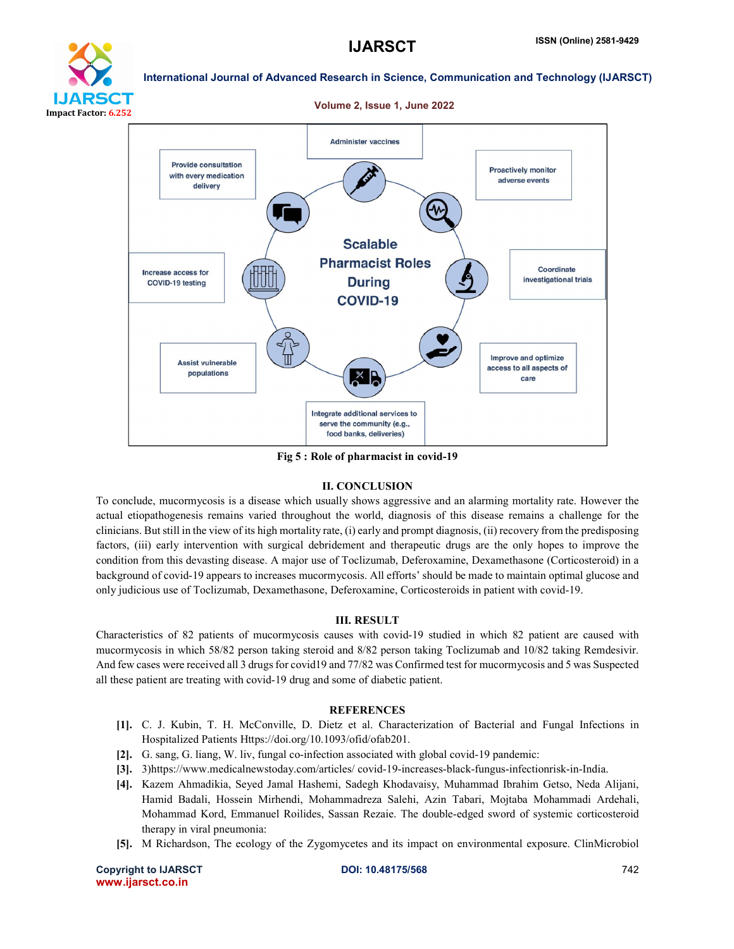

# **ARSCT** Impact Factor: 6.252

International Journal of Advanced Research in Science, Communication and Technology (IJARSCT)

#### Volume 2, Issue 1, June 2022



Fig 5 : Role of pharmacist in covid-19

#### II. CONCLUSION

To conclude, mucormycosis is a disease which usually shows aggressive and an alarming mortality rate. However the actual etiopathogenesis remains varied throughout the world, diagnosis of this disease remains a challenge for the clinicians. But still in the view of its high mortality rate, (i) early and prompt diagnosis, (ii) recovery from the predisposing factors, (iii) early intervention with surgical debridement and therapeutic drugs are the only hopes to improve the condition from this devasting disease. A major use of Toclizumab, Deferoxamine, Dexamethasone (Corticosteroid) in a background of covid-19 appears to increases mucormycosis. All efforts' should be made to maintain optimal glucose and only judicious use of Toclizumab, Dexamethasone, Deferoxamine, Corticosteroids in patient with covid-19.

#### III. RESULT

Characteristics of 82 patients of mucormycosis causes with covid-19 studied in which 82 patient are caused with mucormycosis in which 58/82 person taking steroid and 8/82 person taking Toclizumab and 10/82 taking Remdesivir. And few cases were received all 3 drugs for covid19 and 77/82 was Confirmed test for mucormycosis and 5 was Suspected all these patient are treating with covid-19 drug and some of diabetic patient.

#### **REFERENCES**

- [1]. C. J. Kubin, T. H. McConville, D. Dietz et al. Characterization of Bacterial and Fungal Infections in Hospitalized Patients Https://doi.org/10.1093/ofid/ofab201.
- [2]. G. sang, G. liang, W. liv, fungal co-infection associated with global covid-19 pandemic:
- [3]. 3)https://www.medicalnewstoday.com/articles/ covid-19-increases-black-fungus-infectionrisk-in-India.
- [4]. Kazem Ahmadikia, Seyed Jamal Hashemi, Sadegh Khodavaisy, Muhammad Ibrahim Getso, Neda Alijani, Hamid Badali, Hossein Mirhendi, Mohammadreza Salehi, Azin Tabari, Mojtaba Mohammadi Ardehali, Mohammad Kord, Emmanuel Roilides, Sassan Rezaie. The double-edged sword of systemic corticosteroid therapy in viral pneumonia:
- [5]. M Richardson, The ecology of the Zygomycetes and its impact on environmental exposure. ClinMicrobiol

Copyright to IJARSCT **DOI: 10.48175/568 Copyright to IJARSCT** 742 www.ijarsct.co.in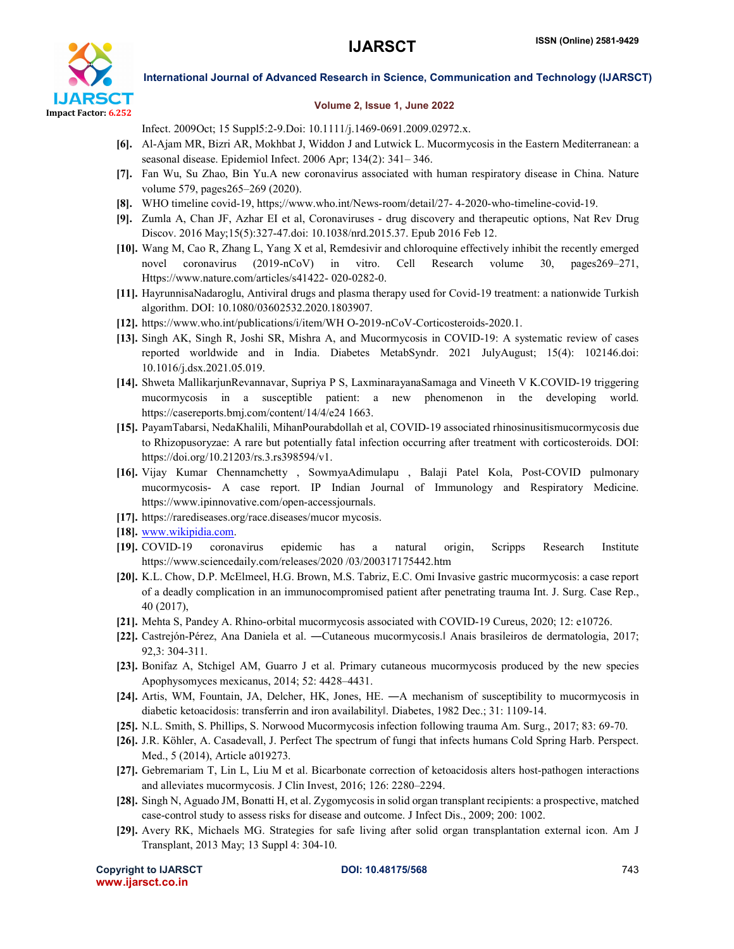

#### Volume 2, Issue 1, June 2022

Infect. 2009Oct; 15 Suppl5:2-9.Doi: 10.1111/j.1469-0691.2009.02972.x.

- [6]. Al-Ajam MR, Bizri AR, Mokhbat J, Widdon J and Lutwick L. Mucormycosis in the Eastern Mediterranean: a seasonal disease. Epidemiol Infect. 2006 Apr; 134(2): 341– 346.
- [7]. Fan Wu, Su Zhao, Bin Yu.A new coronavirus associated with human respiratory disease in China. Nature volume 579, pages265–269 (2020).
- [8]. WHO timeline covid-19, https;//www.who.int/News-room/detail/27- 4-2020-who-timeline-covid-19.
- [9]. Zumla A, Chan JF, Azhar EI et al, Coronaviruses drug discovery and therapeutic options, Nat Rev Drug Discov. 2016 May;15(5):327-47.doi: 10.1038/nrd.2015.37. Epub 2016 Feb 12.
- [10]. Wang M, Cao R, Zhang L, Yang X et al, Remdesivir and chloroquine effectively inhibit the recently emerged novel coronavirus (2019-nCoV) in vitro. Cell Research volume 30, pages269–271, Https://www.nature.com/articles/s41422- 020-0282-0.
- [11]. HayrunnisaNadaroglu, Antiviral drugs and plasma therapy used for Covid-19 treatment: a nationwide Turkish algorithm. DOI: 10.1080/03602532.2020.1803907.
- [12]. https://www.who.int/publications/i/item/WH O-2019-nCoV-Corticosteroids-2020.1.
- [13]. Singh AK, Singh R, Joshi SR, Mishra A, and Mucormycosis in COVID-19: A systematic review of cases reported worldwide and in India. Diabetes MetabSyndr. 2021 JulyAugust; 15(4): 102146.doi: 10.1016/j.dsx.2021.05.019.
- [14]. Shweta MallikarjunRevannavar, Supriya P S, LaxminarayanaSamaga and Vineeth V K.COVID-19 triggering mucormycosis in a susceptible patient: a new phenomenon in the developing world. https://casereports.bmj.com/content/14/4/e24 1663.
- [15]. PayamTabarsi, NedaKhalili, MihanPourabdollah et al, COVID-19 associated rhinosinusitismucormycosis due to Rhizopusoryzae: A rare but potentially fatal infection occurring after treatment with corticosteroids. DOI: https://doi.org/10.21203/rs.3.rs398594/v1.
- [16]. Vijay Kumar Chennamchetty , SowmyaAdimulapu , Balaji Patel Kola, Post-COVID pulmonary mucormycosis- A case report. IP Indian Journal of Immunology and Respiratory Medicine. https://www.ipinnovative.com/open-accessjournals.
- [17]. https://rarediseases.org/race.diseases/mucor mycosis.
- [18]. www.wikipidia.com.
- [19]. COVID-19 coronavirus epidemic has a natural origin, Scripps Research Institute https://www.sciencedaily.com/releases/2020 /03/200317175442.htm
- [20]. K.L. Chow, D.P. McElmeel, H.G. Brown, M.S. Tabriz, E.C. Omi Invasive gastric mucormycosis: a case report of a deadly complication in an immunocompromised patient after penetrating trauma Int. J. Surg. Case Rep., 40 (2017),
- [21]. Mehta S, Pandey A. Rhino-orbital mucormycosis associated with COVID-19 Cureus, 2020; 12: e10726.
- [22]. Castrejón-Pérez, Ana Daniela et al. —Cutaneous mucormycosis. Anais brasileiros de dermatologia, 2017; 92,3: 304-311.
- [23]. Bonifaz A, Stchigel AM, Guarro J et al. Primary cutaneous mucormycosis produced by the new species Apophysomyces mexicanus, 2014; 52: 4428–4431.
- [24]. Artis, WM, Fountain, JA, Delcher, HK, Jones, HE. ―A mechanism of susceptibility to mucormycosis in diabetic ketoacidosis: transferrin and iron availabilityl. Diabetes, 1982 Dec.; 31: 1109-14.
- [25]. N.L. Smith, S. Phillips, S. Norwood Mucormycosis infection following trauma Am. Surg., 2017; 83: 69-70.
- [26]. J.R. Köhler, A. Casadevall, J. Perfect The spectrum of fungi that infects humans Cold Spring Harb. Perspect. Med., 5 (2014), Article a019273.
- [27]. Gebremariam T, Lin L, Liu M et al. Bicarbonate correction of ketoacidosis alters host-pathogen interactions and alleviates mucormycosis. J Clin Invest, 2016; 126: 2280–2294.
- [28]. Singh N, Aguado JM, Bonatti H, et al. Zygomycosis in solid organ transplant recipients: a prospective, matched case-control study to assess risks for disease and outcome. J Infect Dis., 2009; 200: 1002.
- [29]. Avery RK, Michaels MG. Strategies for safe living after solid organ transplantation external icon. Am J Transplant, 2013 May; 13 Suppl 4: 304-10.